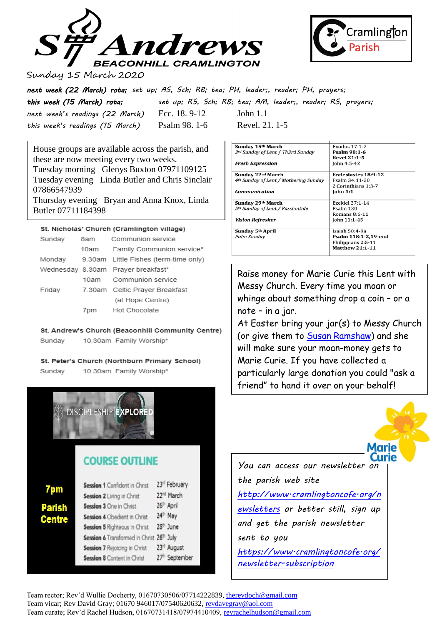



### Sunday 15 March 2020

*next week (22 March) rota; set up; AS, Sch; RB; tea; PH, leader;, reader; PH, prayers; this week (15 March) rota; set up; RS, Sch; RB; tea; AM, leader;, reader; RS, prayers; next week's readings (22 March)* Ecc. 18. 9-12 John 1.1 *this week's readings (15 March)* Psalm 98. 1-6 Revel. 21. 1-5

House groups are available across the parish, and these are now meeting every two weeks. Tuesday morning Glenys Buxton 07971109125 Tuesday evening Linda Butler and Chris Sinclair 07866547939 Thursday evening Bryan and Anna Knox, Linda Butler 07711184398

### St. Nicholas' Church (Cramlington village)

| Sunday | 8am  | Communion service                     |
|--------|------|---------------------------------------|
|        | 10am | Family Communion service*             |
| Monday |      | 9.30am Little Fishes (term-time only) |
|        |      | Wednesday 8.30am Prayer breakfast*    |
|        |      | 10am Communion service                |
| Friday |      | 7.30am Celtic Prayer Breakfast        |
|        |      | (at Hope Centre)                      |
|        |      | 7pm Hot Chocolate                     |

St. Andrew's Church (Beaconhill Community Centre) 10.30am Family Worship\* Sundav

#### St. Peter's Church (Northburn Primary School)

**COURSE OUTLINE** 

Session 1 Confident in Christ

Session 4 Obedient in Christ

Session 5 Righteous in Christ

Session 7 Rejoicing in Christ

Session 8 Content in Christ

Session 6 Transformed in Christ 26th July

Session 2 Living in Christ

Session 3 One in Christ

7pm

**Parish** 

**Centre** 

10.30am Family Worship\* Sundav

**DISCIPLESHIP EXPLORE** 

| Sunday 15th March                                 | Exodus 17:1-7          |
|---------------------------------------------------|------------------------|
| 3rd Sunday of Lent / Th3rd Sunday                 | Psalm 98:1-6           |
|                                                   | <b>Revel 21:1-5</b>    |
| <b>Fresh Expression</b>                           | John 4:5-42            |
| Sunday 22nd March                                 | Ecclesiastes 18:9-12   |
| 4 <sup>th</sup> Sunday of Lent / Mothering Sunday | Psalm 34:11-20         |
|                                                   | 2 Corinthians 1:3-7    |
| Communication                                     | <b>John 1:1</b>        |
| Sunday 29th March                                 | Ezekiel 37:1-14        |
| 5 <sup>th</sup> Sunday of Lent / Passiontide      | Psalm 130              |
|                                                   | Romans $8:6-11$        |
| <b>Vision Refresher</b>                           | John 11:1-45           |
| Sunday 5th April                                  | Isaiah 50:4-9a         |
| Palm Sunday                                       | Psalm 118:1-2.19-end   |
|                                                   | Philippians 2:5-11     |
|                                                   | <b>Matthew 21:1-11</b> |

Raise money for Marie Curie this Lent with Messy Church. Every time you moan or whinge about something drop a coin – or a note – in a jar.

At Easter bring your jar(s) to Messy Church (or give them to [Susan Ramshaw\)](mailto:susanjimramshaw@hotmail.co.uk) and she will make sure your moan-money gets to Marie Curie. If you have collected a particularly large donation you could "ask a friend" to hand it over on your behalf!



*You can access our newsletter on the parish web site [http://www.cramlingtoncofe.org/n](http://www.cramlingtoncofe.org/newsletters) [ewsletters](http://www.cramlingtoncofe.org/newsletters) or better still, sign up and get the parish newsletter sent to you [https://www.cramlingtoncofe.org/](https://www.cramlingtoncofe.org/newsletter-subscription)*

*[newsletter-subscription](https://www.cramlingtoncofe.org/newsletter-subscription)*

#### Team rector; Rev'd Wullie Docherty, 01670730506/07714222839[, therevdoch@gmail.com](mailto:therevdoch@gmail.com) Team vicar; Rev David Gray; 01670 946017/07540620632, [revdavegray@aol.com](mailto:revdavegray@aol.com) Team curate; Rev'd Rachel Hudson, 01670731418/07974410409, [revrachelhudson@gmail.com](mailto:revrachelhudson@gmail.com)

23rd February

22<sup>nd</sup> March

26<sup>th</sup> April

24th May

28<sup>th</sup> June

23rd August

27th September